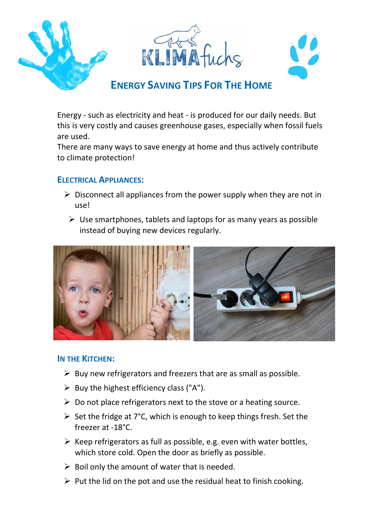

Energy - such as electricity and heat - is produced for our daily needs. But this is very costly and causes greenhouse gases, especially when fossil fuels are used.

There are many ways to save energy at home and thus actively contribute to climate protection!

## **ELECTRICAL APPLIANCES:**

- $\triangleright$  Disconnect all appliances from the power supply when they are not in use!
	- $\triangleright$  Use smartphones, tablets and laptops for as many years as possible instead of buying new devices regularly.



### **IN THE KITCHEN:**

- $\triangleright$  Buy new refrigerators and freezers that are as small as possible.
- $\triangleright$  Buy the highest efficiency class ("A").
- $\triangleright$  Do not place refrigerators next to the stove or a heating source.
- $\triangleright$  Set the fridge at 7°C, which is enough to keep things fresh. Set the freezer at -18°C.
- $\triangleright$  Keep refrigerators as full as possible, e.g. even with water bottles, which store cold. Open the door as briefly as possible.
- $\triangleright$  Boil only the amount of water that is needed.
- $\triangleright$  Put the lid on the pot and use the residual heat to finish cooking.